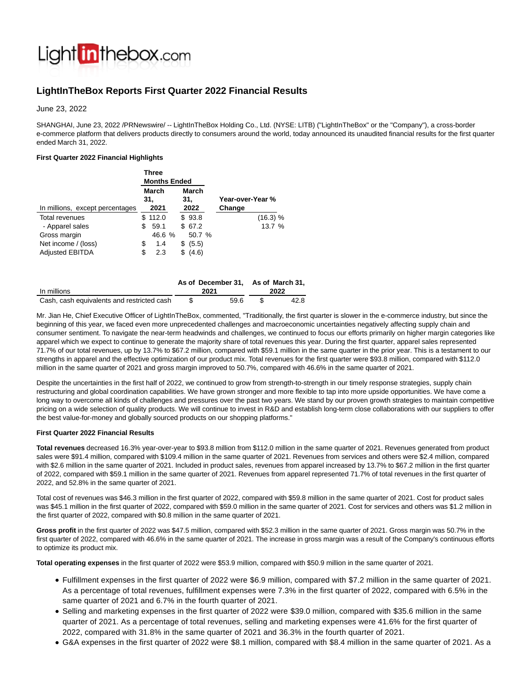

# **LightInTheBox Reports First Quarter 2022 Financial Results**

June 23, 2022

SHANGHAI, June 23, 2022 /PRNewswire/ -- LightInTheBox Holding Co., Ltd. (NYSE: LITB) ("LightInTheBox" or the "Company"), a cross-border e-commerce platform that delivers products directly to consumers around the world, today announced its unaudited financial results for the first quarter ended March 31, 2022.

## **First Quarter 2022 Financial Highlights**

|                                 | Three<br><b>Months Ended</b> |         |  |              |        |                  |
|---------------------------------|------------------------------|---------|--|--------------|--------|------------------|
|                                 | March<br>31.                 |         |  | March<br>31. |        | Year-over-Year % |
| In millions, except percentages |                              | 2021    |  | 2022         |        | Change           |
| <b>Total revenues</b>           |                              | \$112.0 |  | \$93.8       |        | (16.3) %         |
| - Apparel sales                 | \$                           | 59.1    |  | \$67.2       |        | 13.7 %           |
| Gross margin                    |                              | 46.6 %  |  |              | 50.7 % |                  |
| Net income / (loss)             | \$                           | 1.4     |  | (5.5)<br>S   |        |                  |
| <b>Adjusted EBITDA</b>          | S                            | 2.3     |  | (4.6)<br>\$  |        |                  |

|                                            | As of December 31, As of March 31, |      |  |      |
|--------------------------------------------|------------------------------------|------|--|------|
| In millions                                |                                    | 2021 |  | 2022 |
| Cash, cash equivalents and restricted cash |                                    | 59.6 |  | 42.8 |

Mr. Jian He, Chief Executive Officer of LightInTheBox, commented, "Traditionally, the first quarter is slower in the e-commerce industry, but since the beginning of this year, we faced even more unprecedented challenges and macroeconomic uncertainties negatively affecting supply chain and consumer sentiment. To navigate the near-term headwinds and challenges, we continued to focus our efforts primarily on higher margin categories like apparel which we expect to continue to generate the majority share of total revenues this year. During the first quarter, apparel sales represented 71.7% of our total revenues, up by 13.7% to \$67.2 million, compared with \$59.1 million in the same quarter in the prior year. This is a testament to our strengths in apparel and the effective optimization of our product mix. Total revenues for the first quarter were \$93.8 million, compared with \$112.0 million in the same quarter of 2021 and gross margin improved to 50.7%, compared with 46.6% in the same quarter of 2021.

Despite the uncertainties in the first half of 2022, we continued to grow from strength-to-strength in our timely response strategies, supply chain restructuring and global coordination capabilities. We have grown stronger and more flexible to tap into more upside opportunities. We have come a long way to overcome all kinds of challenges and pressures over the past two years. We stand by our proven growth strategies to maintain competitive pricing on a wide selection of quality products. We will continue to invest in R&D and establish long-term close collaborations with our suppliers to offer the best value-for-money and globally sourced products on our shopping platforms."

## **First Quarter 2022 Financial Results**

**Total revenues** decreased 16.3% year-over-year to \$93.8 million from \$112.0 million in the same quarter of 2021. Revenues generated from product sales were \$91.4 million, compared with \$109.4 million in the same quarter of 2021. Revenues from services and others were \$2.4 million, compared with \$2.6 million in the same quarter of 2021. Included in product sales, revenues from apparel increased by 13.7% to \$67.2 million in the first quarter of 2022, compared with \$59.1 million in the same quarter of 2021. Revenues from apparel represented 71.7% of total revenues in the first quarter of 2022, and 52.8% in the same quarter of 2021.

Total cost of revenues was \$46.3 million in the first quarter of 2022, compared with \$59.8 million in the same quarter of 2021. Cost for product sales was \$45.1 million in the first quarter of 2022, compared with \$59.0 million in the same quarter of 2021. Cost for services and others was \$1.2 million in the first quarter of 2022, compared with \$0.8 million in the same quarter of 2021.

**Gross profit** in the first quarter of 2022 was \$47.5 million, compared with \$52.3 million in the same quarter of 2021. Gross margin was 50.7% in the first quarter of 2022, compared with 46.6% in the same quarter of 2021. The increase in gross margin was a result of the Company's continuous efforts to optimize its product mix.

**Total operating expenses** in the first quarter of 2022 were \$53.9 million, compared with \$50.9 million in the same quarter of 2021.

- Fulfillment expenses in the first quarter of 2022 were \$6.9 million, compared with \$7.2 million in the same quarter of 2021. As a percentage of total revenues, fulfillment expenses were 7.3% in the first quarter of 2022, compared with 6.5% in the same quarter of 2021 and 6.7% in the fourth quarter of 2021.
- Selling and marketing expenses in the first quarter of 2022 were \$39.0 million, compared with \$35.6 million in the same quarter of 2021. As a percentage of total revenues, selling and marketing expenses were 41.6% for the first quarter of 2022, compared with 31.8% in the same quarter of 2021 and 36.3% in the fourth quarter of 2021.
- G&A expenses in the first quarter of 2022 were \$8.1 million, compared with \$8.4 million in the same quarter of 2021. As a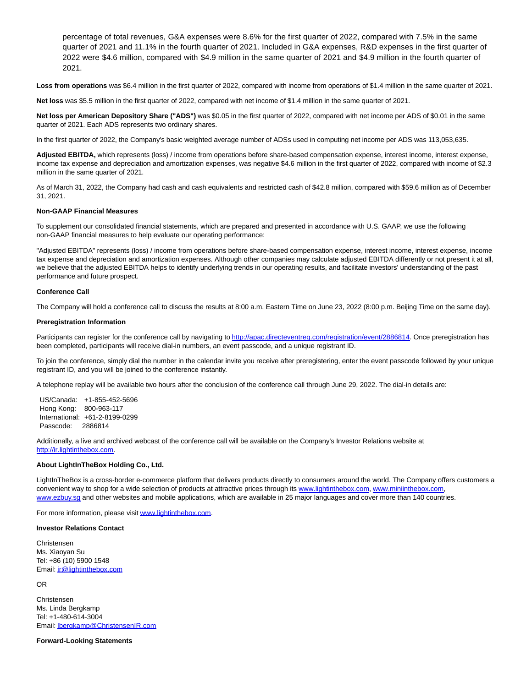percentage of total revenues, G&A expenses were 8.6% for the first quarter of 2022, compared with 7.5% in the same quarter of 2021 and 11.1% in the fourth quarter of 2021. Included in G&A expenses, R&D expenses in the first quarter of 2022 were \$4.6 million, compared with \$4.9 million in the same quarter of 2021 and \$4.9 million in the fourth quarter of 2021.

**Loss from operations** was \$6.4 million in the first quarter of 2022, compared with income from operations of \$1.4 million in the same quarter of 2021.

**Net loss** was \$5.5 million in the first quarter of 2022, compared with net income of \$1.4 million in the same quarter of 2021.

**Net loss per American Depository Share ("ADS")** was \$0.05 in the first quarter of 2022, compared with net income per ADS of \$0.01 in the same quarter of 2021. Each ADS represents two ordinary shares.

In the first quarter of 2022, the Company's basic weighted average number of ADSs used in computing net income per ADS was 113,053,635.

**Adjusted EBITDA,** which represents (loss) / income from operations before share-based compensation expense, interest income, interest expense, income tax expense and depreciation and amortization expenses, was negative \$4.6 million in the first quarter of 2022, compared with income of \$2.3 million in the same quarter of 2021.

As of March 31, 2022, the Company had cash and cash equivalents and restricted cash of \$42.8 million, compared with \$59.6 million as of December 31, 2021.

## **Non-GAAP Financial Measures**

To supplement our consolidated financial statements, which are prepared and presented in accordance with U.S. GAAP, we use the following non-GAAP financial measures to help evaluate our operating performance:

"Adjusted EBITDA" represents (loss) / income from operations before share-based compensation expense, interest income, interest expense, income tax expense and depreciation and amortization expenses. Although other companies may calculate adjusted EBITDA differently or not present it at all, we believe that the adjusted EBITDA helps to identify underlying trends in our operating results, and facilitate investors' understanding of the past performance and future prospect.

#### **Conference Call**

The Company will hold a conference call to discuss the results at 8:00 a.m. Eastern Time on June 23, 2022 (8:00 p.m. Beijing Time on the same day).

#### **Preregistration Information**

Participants can register for the conference call by navigating t[o http://apac.directeventreg.com/registration/event/2886814.](http://apac.directeventreg.com/registration/event/2886814) Once preregistration has been completed, participants will receive dial-in numbers, an event passcode, and a unique registrant ID.

To join the conference, simply dial the number in the calendar invite you receive after preregistering, enter the event passcode followed by your unique registrant ID, and you will be joined to the conference instantly.

A telephone replay will be available two hours after the conclusion of the conference call through June 29, 2022. The dial-in details are:

US/Canada: +1-855-452-5696 Hong Kong: 800-963-117 International: +61-2-8199-0299 Passcode: 2886814

Additionally, a live and archived webcast of the conference call will be available on the Company's Investor Relations website at [http://ir.lightinthebox.com.](http://ir.lightinthebox.com/)

#### **About LightInTheBox Holding Co., Ltd.**

LightInTheBox is a cross-border e-commerce platform that delivers products directly to consumers around the world. The Company offers customers a convenient way to shop for a wide selection of products at attractive prices through its [www.lightinthebox.com,](http://www.lightinthebox.com/) [www.miniinthebox.com,](http://www.miniinthebox.com/) [www.ezbuy.sg a](http://www.ezbuy.sg/)nd other websites and mobile applications, which are available in 25 major languages and cover more than 140 countries.

For more information, please visi[t www.lightinthebox.com.](http://www.lightinthebox.com/)

#### **Investor Relations Contact**

Christensen Ms. Xiaoyan Su Tel: +86 (10) 5900 1548 Email[: ir@lightinthebox.com](mailto:ir@lightinthebox.com)

OR

Christensen Ms. Linda Bergkamp Tel: +1-480-614-3004 Email[: lbergkamp@ChristensenIR.com](mailto:lbergkamp@ChristensenIR.com)

### **Forward-Looking Statements**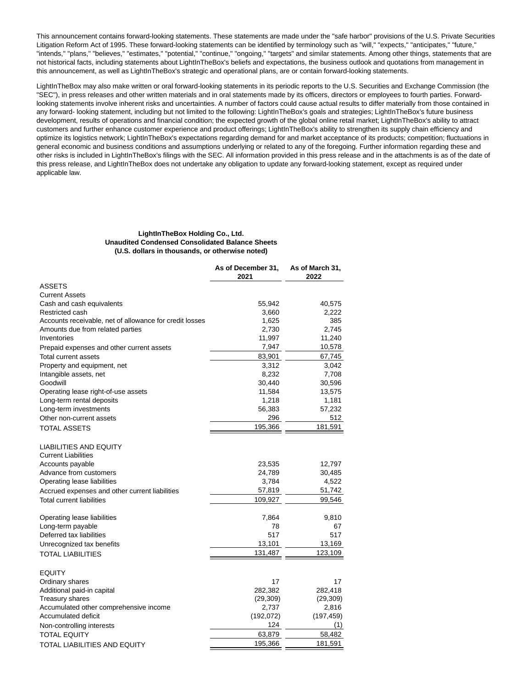This announcement contains forward-looking statements. These statements are made under the "safe harbor" provisions of the U.S. Private Securities Litigation Reform Act of 1995. These forward-looking statements can be identified by terminology such as "will," "expects," "anticipates," "future," "intends," "plans," "believes," "estimates," "potential," "continue," "ongoing," "targets" and similar statements. Among other things, statements that are not historical facts, including statements about LightInTheBox's beliefs and expectations, the business outlook and quotations from management in this announcement, as well as LightInTheBox's strategic and operational plans, are or contain forward-looking statements.

LightInTheBox may also make written or oral forward-looking statements in its periodic reports to the U.S. Securities and Exchange Commission (the "SEC"), in press releases and other written materials and in oral statements made by its officers, directors or employees to fourth parties. Forwardlooking statements involve inherent risks and uncertainties. A number of factors could cause actual results to differ materially from those contained in any forward- looking statement, including but not limited to the following: LightInTheBox's goals and strategies; LightInTheBox's future business development, results of operations and financial condition; the expected growth of the global online retail market; LightInTheBox's ability to attract customers and further enhance customer experience and product offerings; LightInTheBox's ability to strengthen its supply chain efficiency and optimize its logistics network; LightInTheBox's expectations regarding demand for and market acceptance of its products; competition; fluctuations in general economic and business conditions and assumptions underlying or related to any of the foregoing. Further information regarding these and other risks is included in LightInTheBox's filings with the SEC. All information provided in this press release and in the attachments is as of the date of this press release, and LightInTheBox does not undertake any obligation to update any forward-looking statement, except as required under applicable law.

## **LightInTheBox Holding Co., Ltd. Unaudited Condensed Consolidated Balance Sheets (U.S. dollars in thousands, or otherwise noted)**

|                                                             | As of December 31,<br>2021 | As of March 31,<br>2022 |
|-------------------------------------------------------------|----------------------------|-------------------------|
| <b>ASSETS</b>                                               |                            |                         |
| <b>Current Assets</b>                                       |                            |                         |
| Cash and cash equivalents                                   | 55,942                     | 40,575                  |
| Restricted cash                                             | 3,660                      | 2,222                   |
| Accounts receivable, net of allowance for credit losses     | 1,625                      | 385                     |
| Amounts due from related parties                            | 2,730                      | 2,745                   |
| Inventories                                                 | 11,997                     | 11,240                  |
| Prepaid expenses and other current assets                   | 7,947                      | 10,578                  |
| <b>Total current assets</b>                                 | 83,901                     | 67,745                  |
| Property and equipment, net                                 | 3,312                      | 3,042                   |
| Intangible assets, net                                      | 8,232                      | 7,708                   |
| Goodwill                                                    | 30,440                     | 30,596                  |
| Operating lease right-of-use assets                         | 11,584                     | 13,575                  |
| Long-term rental deposits                                   | 1,218                      | 1,181                   |
| Long-term investments                                       | 56,383                     | 57,232                  |
| Other non-current assets                                    | 296                        | 512                     |
| <b>TOTAL ASSETS</b>                                         | 195,366                    | 181,591                 |
| <b>LIABILITIES AND EQUITY</b><br><b>Current Liabilities</b> |                            |                         |
| Accounts payable                                            | 23,535                     | 12,797                  |
| Advance from customers                                      | 24,789                     | 30,485                  |
| Operating lease liabilities                                 | 3,784                      | 4,522                   |
| Accrued expenses and other current liabilities              | 57,819                     | 51,742                  |
| <b>Total current liabilities</b>                            | 109,927                    | 99,546                  |
| Operating lease liabilities                                 | 7,864                      | 9,810                   |
| Long-term payable                                           | 78                         | 67                      |
| Deferred tax liabilities                                    | 517                        | 517                     |
| Unrecognized tax benefits                                   | 13,101                     | 13,169                  |
| <b>TOTAL LIABILITIES</b>                                    | 131,487                    | 123,109                 |
| <b>EQUITY</b>                                               |                            |                         |
| Ordinary shares                                             | 17                         | 17                      |
| Additional paid-in capital                                  | 282,382                    | 282,418                 |
| <b>Treasury shares</b>                                      | (29, 309)                  | (29, 309)               |
| Accumulated other comprehensive income                      | 2,737                      | 2,816                   |
| <b>Accumulated deficit</b>                                  | (192, 072)                 | (197, 459)              |
| Non-controlling interests                                   | 124                        | (1)                     |
| <b>TOTAL EQUITY</b>                                         | 63,879                     | 58,482                  |
|                                                             | 195,366                    | 181,591                 |
| TOTAL LIABILITIES AND EQUITY                                |                            |                         |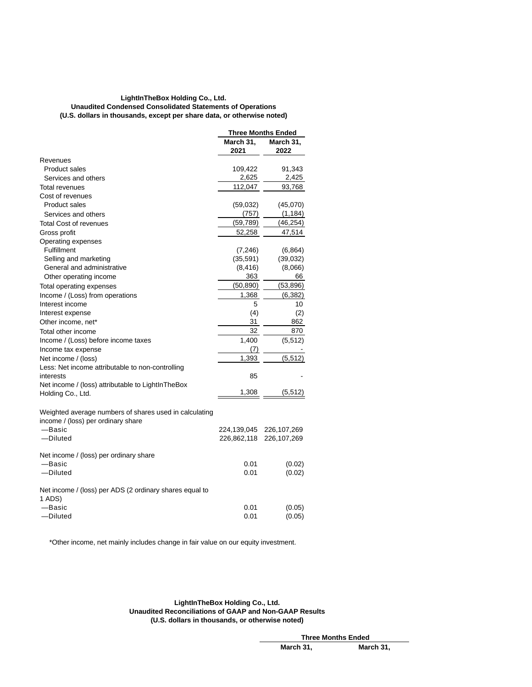## **LightInTheBox Holding Co., Ltd. Unaudited Condensed Consolidated Statements of Operations (U.S. dollars in thousands, except per share data, or otherwise noted)**

|                                                                                              | <b>Three Months Ended</b> |                   |  |
|----------------------------------------------------------------------------------------------|---------------------------|-------------------|--|
|                                                                                              | March 31,<br>2021         | March 31,<br>2022 |  |
| Revenues                                                                                     |                           |                   |  |
| <b>Product sales</b>                                                                         | 109,422                   | 91,343            |  |
| Services and others                                                                          | 2,625                     | 2,425             |  |
| Total revenues                                                                               | 112,047                   | 93,768            |  |
| Cost of revenues                                                                             |                           |                   |  |
| <b>Product sales</b>                                                                         | (59,032)                  | (45,070)          |  |
| Services and others                                                                          | (757)                     | (1, 184)          |  |
| <b>Total Cost of revenues</b>                                                                | (59, 789)                 | (46, 254)         |  |
| Gross profit                                                                                 | 52,258                    | 47,514            |  |
| Operating expenses                                                                           |                           |                   |  |
| <b>Fulfillment</b>                                                                           | (7, 246)                  | (6, 864)          |  |
| Selling and marketing                                                                        | (35, 591)                 | (39, 032)         |  |
| General and administrative                                                                   | (8, 416)                  | (8,066)           |  |
| Other operating income                                                                       | 363                       | 66                |  |
| Total operating expenses                                                                     | (50, 890)                 | (53, 896)         |  |
| Income / (Loss) from operations                                                              | 1,368                     | (6, 382)          |  |
| Interest income                                                                              | 5                         | 10                |  |
| Interest expense                                                                             | (4)                       | (2)               |  |
| Other income, net*                                                                           | 31                        | 862               |  |
| Total other income                                                                           | 32                        | 870               |  |
| Income / (Loss) before income taxes                                                          | 1,400                     | (5, 512)          |  |
| Income tax expense                                                                           | (7)                       |                   |  |
| Net income / (loss)                                                                          | 1,393                     | (5.512)           |  |
| Less: Net income attributable to non-controlling                                             |                           |                   |  |
| interests                                                                                    | 85                        |                   |  |
| Net income / (loss) attributable to LightInTheBox                                            |                           |                   |  |
| Holding Co., Ltd.                                                                            | 1,308                     | (5,512)           |  |
| Weighted average numbers of shares used in calculating<br>income / (loss) per ordinary share |                           |                   |  |
| -Basic                                                                                       | 224,139,045               | 226, 107, 269     |  |
| -Diluted                                                                                     | 226,862,118               | 226, 107, 269     |  |
| Net income / (loss) per ordinary share                                                       |                           |                   |  |
| —Basic                                                                                       | 0.01                      | (0.02)            |  |
| -Diluted                                                                                     | 0.01                      | (0.02)            |  |
| Net income / (loss) per ADS (2 ordinary shares equal to<br>1 ADS)                            |                           |                   |  |
| -Basic                                                                                       | 0.01                      | (0.05)            |  |
| -Diluted                                                                                     | 0.01                      | (0.05)            |  |

\*Other income, net mainly includes change in fair value on our equity investment.

**LightInTheBox Holding Co., Ltd. Unaudited Reconciliations of GAAP and Non-GAAP Results (U.S. dollars in thousands, or otherwise noted)**

> **Three Months Ended March 31, March 31,**